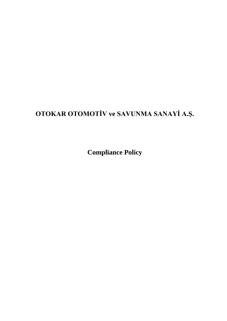# **OTOKAR OTOMOTİV ve SAVUNMA SANAYİ A.Ş.**

**Compliance Policy**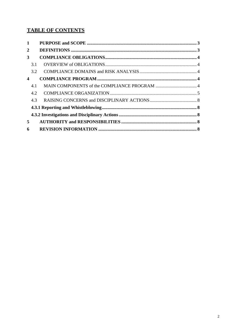## **TABLE OF CONTENTS**

| $\mathbf{1}$     |     |  |  |  |  |
|------------------|-----|--|--|--|--|
| $\mathbf{2}$     |     |  |  |  |  |
| 3                |     |  |  |  |  |
|                  | 3.1 |  |  |  |  |
|                  | 3.2 |  |  |  |  |
| $\boldsymbol{4}$ |     |  |  |  |  |
|                  | 4.1 |  |  |  |  |
|                  | 4.2 |  |  |  |  |
|                  | 4.3 |  |  |  |  |
|                  |     |  |  |  |  |
|                  |     |  |  |  |  |
| 5                |     |  |  |  |  |
| 6                |     |  |  |  |  |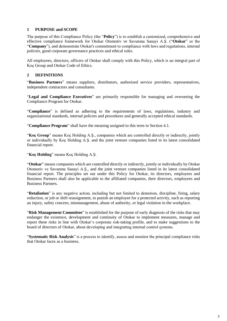#### <span id="page-2-0"></span>**1 PURPOSE and SCOPE**

The purpose of this Compliance Policy (the "**Policy**") is to establish a customized, comprehensive and effective compliance framework for Otokar Otomotiv ve Savunma Sanayi A.Ş. ("**Otokar**" or the "**Company**"), and demonstrate Otokar's commitment to compliance with laws and regulations, internal policies, good corporate governance practices and ethical rules.

All employees, directors, officers of Otokar shall comply with this Policy, which is an integral part of Koç Group and Otokar Code of Ethics.

#### **2 DEFINITIONS**

"**Business Partners**" means suppliers, distributors, authorized service providers, representatives, independent contractors and consultants.

"**Legal and Compliance Executives**" are primarily responsible for managing and overseeing the Compliance Program for Otokar.

"**Compliance**" is defined as adhering to the requirements of laws, regulations, industry and organizational standards, internal policies and procedures and generally accepted ethical standards.

"**Compliance Program**" shall have the meaning assigned to this term in Section 4.1.

"**Koç Group**" means Koç Holding A.Ş., companies which are controlled directly or indirectly, jointly or individually by Koç Holding A.Ş. and the joint venture companies listed in its latest consolidated financial report.

"**Koç Holding**" means Koç Holding A.Ş.

"**Otokar**" means companies which are controlled directly or indirectly, jointly or individually by Otokar Otomotiv ve Savunma Sanayi A.Ş., and the joint venture companies listed in its latest consolidated financial report. The principles set out under this Policy for Otokar, its directors, employees and Business Partners shall also be applicable to the affiliated companies, their directors, employees and Business Partners.

"**Retaliation**" is any negative action, including but not limited to demotion, discipline, firing, salary reduction, or job or shift reassignment, to punish an employee for a protected activity, such as reporting an injury, safety concern, mismanagement, abuse of authority, or legal violation in the workplace.

"**Risk Management Committee**" is established for the purpose of early diagnosis of the risks that may endanger the existence, development and continuity of Otokar to implement measures, manage and report these risks in line with Otokar's corporate risk-taking profile, and to make suggestions to the board of directors of Otokar, about developing and integrating internal control şystems.

"**Systematic Risk Analysis**" is a process to identify, assess and monitor the principal compliance risks that Otokar faces as a business.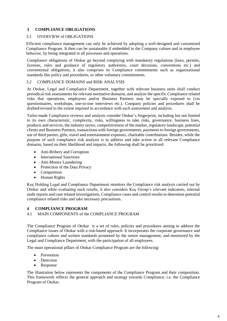#### **3 COMPLIANCE OBLIGATIONS**

#### 3.1 OVERVIEW of OBLIGATIONS

Efficient compliance management can only be achieved by adopting a well-designed and customized Compliance Program. It then can be sustainable if embedded in the Company culture and in employee behavior, by being integrated in all processes and operations.

Compliance obligations of Otokar go beyond complying with mandatory regulations (laws, permits, licenses, rules and guidance of regulatory authorities, court decisions, conventions etc.) and conventional obligations, it also comprises its Compliance commitments such as organizational standards like policy and procedures, or other voluntary commitments.

### <span id="page-3-0"></span>3.2 COMPLIANCE DOMAINS and RISK ANALYSIS

At Otokar, Legal and Compliance Department, together with relevant business units shall conduct periodical risk assessments for relevant normative domains, and analyze the specific Compliance related risks that operations, employees and/or Business Partners may be specially exposed to (via questionnaires, workshops, one-to-one interviews etc.). Company policies and procedures shall be drafted/revised to the extent required in accordance with such assessment and analysis.

Tailor-made Compliance reviews and analysis consider Otokar's fingerprint, including but not limited to its own characteristic, complexity, risks, willingness to take risks, governance, business lines, products and services, the industry sector, competitiveness of the market, regulatory landscape, potential clients and Business Partners, transactions with foreign governments, payments to foreign governments, use of third parties, gifts, travel and entertainment expenses, charitable contributions. Besides, while the purpose of such compliance risk analysis is to address and take action in all relevant Compliance domains, based on their likelihood and impacts, the following shall be prioritized:

- Anti-Bribery and Corruption
- International Sanctions
- Anti-Money Laundering
- Protection of the Data Privacy
- Competition
- Human Rights

Koç Holding Legal and Compliance Department monitors the Compliance risk analysis carried out by Otokar and while evaluating such results, it also considers Koç Group's relevant indicators, internal audit reports and case related investigations, Compliance cases and control results to determine potential compliance related risks and take necessary precautions.

#### **4 COMPLIANCE PROGRAM**

#### <span id="page-3-1"></span>4.1 MAIN COMPONENTS of the COMPLIANCE PROGRAM

The Compliance Program of Otokar is a set of rules, policies and procedures aiming to address the Compliance issues of Otokar with a risk-based approach. It incorporates the corporate governance and compliance culture and written standards promoted by the senior management, and monitored by the Legal and Compliance Department, with the participation of all employees.

The main operational pillars of Otokar Compliance Program are the following:

- Prevention
- Detection
- Response

The illustration below represents the components of the Compliance Program and their composition. This framework reflects the general approach and strategy towards Compliance, i.e. the Compliance Program of Otokar.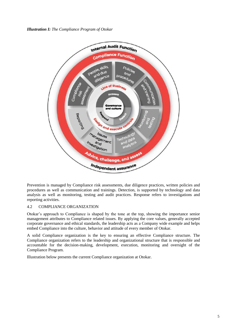*Illustration I: The Compliance Program of Otokar*



Prevention is managed by Compliance risk assessments, due diligence practices, written policies and procedures as well as communication and trainings. Detection, is supported by technology and data analysis as well as monitoring, testing and audit practices. Response refers to investigations and reporting activities.

#### <span id="page-4-0"></span>4.2 COMPLIANCE ORGANIZATION

Otokar's approach to Compliance is shaped by the tone at the top, showing the importance senior management attributes to Compliance related issues. By applying the core values, generally accepted corporate governance and ethical standards, the leadership acts as a Company wide example and helps embed Compliance into the culture, behavior and attitude of every member of Otokar.

A solid Compliance organization is the key to ensuring an effective Compliance structure. The Compliance organization refers to the leadership and organizational structure that is responsible and accountable for the decision-making, development, execution, monitoring and oversight of the Compliance Program.

Illustration below presents the current Compliance organization at Otokar.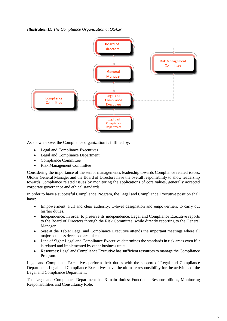*Illustration II: The Compliance Organization at Otokar*



As shown above, the Compliance organization is fulfilled by:

- Legal and Compliance Executives
- Legal and Compliance Department
- Compliance Committee
- Risk Management Committee

Considering the importance of the senior management's leadership towards Compliance related issues, Otokar General Manager and the Board of Directors have the overall responsibility to show leadership towards Compliance related issues by monitoring the applications of core values, generally accepted corporate governance and ethical standards.

In order to have a successful Compliance Program, the Legal and Compliance Executive position shall have:

- Empowerment: Full and clear authority, C-level designation and empowerment to carry out his/her duties.
- Independence: In order to preserve its independence, Legal and Compliance Executive reports to the Board of Directors through the Risk Committee, while directly reporting to the General Manager.
- Seat at the Table: Legal and Compliance Executive attends the important meetings where all major business decisions are taken.
- Line of Sight: Legal and Compliance Executive determines the standards in risk areas even if it is related and implemented by other business units.
- Resources: Legal and Compliance Executive has sufficient resources to manage the Compliance Program.

Legal and Compliance Executives perform their duties with the support of Legal and Compliance Department. Legal and Compliance Executives have the ultimate responsibility for the activities of the Legal and Compliance Department.

The Legal and Compliance Department has 3 main duties: Functional Responsibilities, Monitoring Responsibilities and Consultancy Role.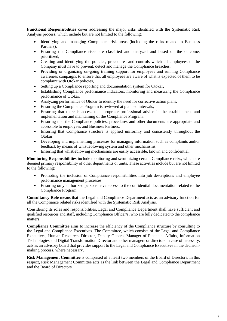**Functional Responsibilities** cover addressing the major risks identified with the Systematic Risk Analysis process, which include but are not limited to the following:

- Identifying and managing Compliance risk areas (including the risks related to Business Partners),
- Ensuring the Compliance risks are classified and analyzed and based on the outcome, prioritized,
- Creating and identifying the policies, procedures and controls which all employees of the Company must have to prevent, detect and manage the Compliance breaches,
- Providing or organizing on-going training support for employees and running Compliance awareness campaigns to ensure that all employees are aware of what is expected of them to be complaint with Otokar policies,
- Setting up a Compliance reporting and documentation system for Otokar,
- Establishing Compliance performance indicators, monitoring and measuring the Compliance performance of Otokar,
- Analyzing performance of Otokar to identify the need for corrective action plans,
- Ensuring the Compliance Program is reviewed at planned intervals,
- Ensuring that there is access to appropriate professional advice in the establishment and implementation and maintaining of the Compliance Program,
- Ensuring that the Compliance policies, procedures and other documents are appropriate and accessible to employees and Business Partners,
- Ensuring that Compliance structure is applied uniformly and consistently throughout the Otokar,
- Developing and implementing processes for managing information such as complaints and/or feedback by means of whistleblowing system and other mechanisms,
- Ensuring that whistleblowing mechanisms are easily accessible, known and confidential.

**Monitoring Responsibilities** include monitoring and scrutinizing certain Compliance risks, which are deemed primary responsibility of other departments or units. These activities include but are not limited to the following:

- Promoting the inclusion of Compliance responsibilities into job descriptions and employee performance management processes,
- Ensuring only authorized persons have access to the confidential documentation related to the Compliance Program.

**Consultancy Role** means that the Legal and Compliance Department acts as an advisory function for all the Compliance related risks identified with the Systematic Risk Analysis.

Considering its roles and responsibilities, Legal and Compliance Department shall have sufficient and qualified resources and staff, including Compliance Officer/s, who are fully dedicated to the compliance matters.

**Compliance Committee** aims to increase the efficiency of the Compliance structure by consulting to the Legal and Compliance Executives. The Committee, which consists of the Legal and Compliance Executives, Human Resources Director, Deputy General Manager of Financial Affairs, Information Technologies and Digital Transformation Director and other managers or directors in case of necessity, acts as an advisory board that provides support to the Legal and Compliance Executives in the decisionmaking process, where necessary.

**Risk Management Committee** is comprised of at least two members of the Board of Directors. In this respect, Risk Management Committee acts as the link between the Legal and Compliance Department and the Board of Directors.